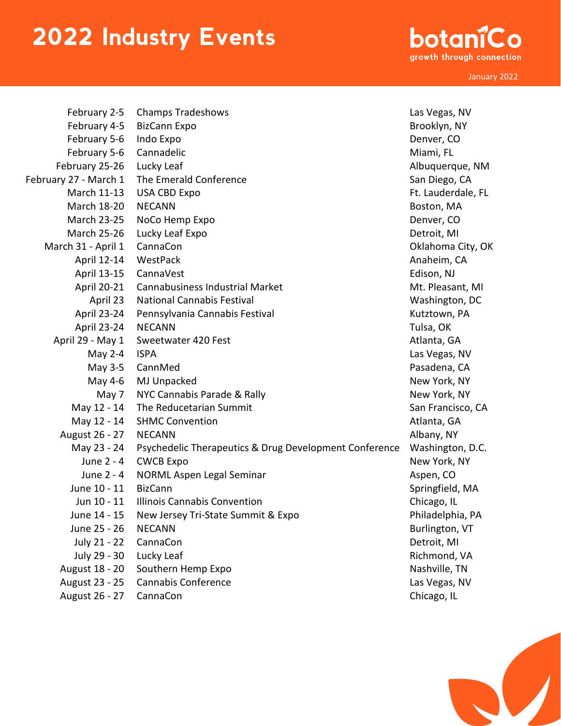## 2022 Industry Events

botaniCo growth through connection

January 2022

| February 2-5          | <b>Champs Tradeshows</b>                               | Las Vegas, NV      |
|-----------------------|--------------------------------------------------------|--------------------|
| February 4-5          | <b>BizCann Expo</b>                                    | Brooklyn, NY       |
| February 5-6          | Indo Expo                                              | Denver, CO         |
| February 5-6          | Cannadelic                                             | Miami, FL          |
|                       |                                                        |                    |
| February 25-26        | Lucky Leaf                                             | Albuquerque, NM    |
| February 27 - March 1 | The Emerald Conference                                 | San Diego, CA      |
| March 11-13           | <b>USA CBD Expo</b>                                    | Ft. Lauderdale, FL |
| March 18-20           | <b>NECANN</b>                                          | Boston, MA         |
| <b>March 23-25</b>    | NoCo Hemp Expo                                         | Denver, CO         |
| <b>March 25-26</b>    | Lucky Leaf Expo                                        | Detroit, MI        |
| March 31 - April 1    | CannaCon                                               | Oklahoma City, OK  |
| April 12-14           | WestPack                                               | Anaheim, CA        |
| April 13-15           | CannaVest                                              | Edison, NJ         |
| April 20-21           | <b>Cannabusiness Industrial Market</b>                 | Mt. Pleasant, MI   |
| April 23              | <b>National Cannabis Festival</b>                      | Washington, DC     |
| <b>April 23-24</b>    | Pennsylvania Cannabis Festival                         | Kutztown, PA       |
| April 23-24           | <b>NECANN</b>                                          | Tulsa, OK          |
| April 29 - May 1      | Sweetwater 420 Fest                                    | Atlanta, GA        |
| May 2-4               | <b>ISPA</b>                                            | Las Vegas, NV      |
| May 3-5               | CannMed                                                | Pasadena, CA       |
| May 4-6               | MJ Unpacked                                            | New York, NY       |
| May 7                 | NYC Cannabis Parade & Rally                            | New York, NY       |
| May 12 - 14           | The Reducetarian Summit                                | San Francisco, CA  |
| May 12 - 14           | <b>SHMC Convention</b>                                 | Atlanta, GA        |
| August 26 - 27        | <b>NECANN</b>                                          | Albany, NY         |
| May 23 - 24           | Psychedelic Therapeutics & Drug Development Conference | Washington, D.C.   |
| June 2 - 4            | <b>CWCB Expo</b>                                       | New York, NY       |
| June 2 - 4            | NORML Aspen Legal Seminar                              | Aspen, CO          |
| June 10 - 11          | <b>BizCann</b>                                         | Springfield, MA    |
| Jun 10 - 11           | <b>Illinois Cannabis Convention</b>                    | Chicago, IL        |
| June 14 - 15          | New Jersey Tri-State Summit & Expo                     | Philadelphia, PA   |
| June 25 - 26          | <b>NECANN</b>                                          | Burlington, VT     |
| July 21 - 22          | CannaCon                                               | Detroit, MI        |
| July 29 - 30          | Lucky Leaf                                             | Richmond, VA       |
| August 18 - 20        | Southern Hemp Expo                                     | Nashville, TN      |
| August 23 - 25        | <b>Cannabis Conference</b>                             | Las Vegas, NV      |
| August 26 - 27        | CannaCon                                               | Chicago, IL        |
|                       |                                                        |                    |